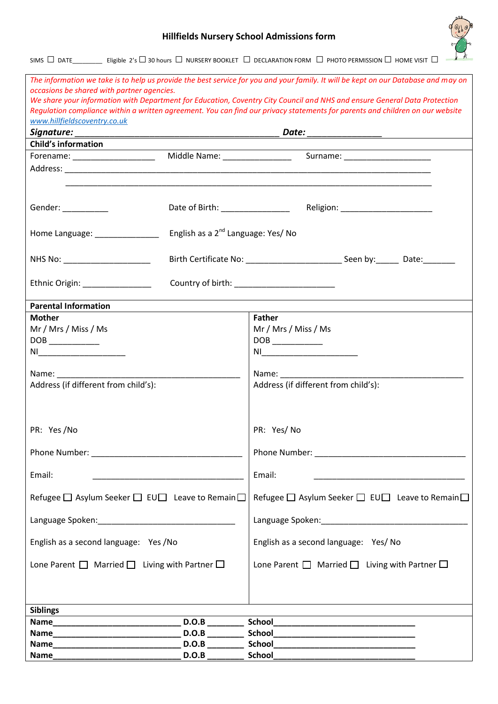## **Hillfields Nursery School Admissions form**



SIMS  $\Box$  DATE\_\_\_\_\_\_\_\_\_\_\_ Eligible 2's  $\Box$  30 hours  $\Box$  NURSERY BOOKLET  $\Box$  DECLARATION FORM  $\Box$  PHOTO PERMISSION  $\Box$  HOME VISIT  $\Box$ 

| occasions be shared with partner agencies.                   |                                                                                                                       | The information we take is to help us provide the best service for you and your family. It will be kept on our Database and may on                                                                                                                                                                                                                  |  |  |  |  |  |
|--------------------------------------------------------------|-----------------------------------------------------------------------------------------------------------------------|-----------------------------------------------------------------------------------------------------------------------------------------------------------------------------------------------------------------------------------------------------------------------------------------------------------------------------------------------------|--|--|--|--|--|
|                                                              |                                                                                                                       | We share your information with Department for Education, Coventry City Council and NHS and ensure General Data Protection                                                                                                                                                                                                                           |  |  |  |  |  |
|                                                              |                                                                                                                       | Regulation compliance within a written agreement. You can find our privacy statements for parents and children on our website                                                                                                                                                                                                                       |  |  |  |  |  |
| www.hillfieldscoventry.co.uk                                 |                                                                                                                       |                                                                                                                                                                                                                                                                                                                                                     |  |  |  |  |  |
| Signature:                                                   |                                                                                                                       |                                                                                                                                                                                                                                                                                                                                                     |  |  |  |  |  |
| <b>Child's information</b>                                   |                                                                                                                       |                                                                                                                                                                                                                                                                                                                                                     |  |  |  |  |  |
|                                                              |                                                                                                                       |                                                                                                                                                                                                                                                                                                                                                     |  |  |  |  |  |
|                                                              |                                                                                                                       |                                                                                                                                                                                                                                                                                                                                                     |  |  |  |  |  |
|                                                              |                                                                                                                       |                                                                                                                                                                                                                                                                                                                                                     |  |  |  |  |  |
|                                                              |                                                                                                                       |                                                                                                                                                                                                                                                                                                                                                     |  |  |  |  |  |
| Gender: ___________                                          |                                                                                                                       |                                                                                                                                                                                                                                                                                                                                                     |  |  |  |  |  |
|                                                              |                                                                                                                       |                                                                                                                                                                                                                                                                                                                                                     |  |  |  |  |  |
| Home Language: _______________                               | English as a 2 <sup>nd</sup> Language: Yes/ No                                                                        |                                                                                                                                                                                                                                                                                                                                                     |  |  |  |  |  |
|                                                              |                                                                                                                       |                                                                                                                                                                                                                                                                                                                                                     |  |  |  |  |  |
| NHS No: ______________________                               |                                                                                                                       |                                                                                                                                                                                                                                                                                                                                                     |  |  |  |  |  |
|                                                              |                                                                                                                       |                                                                                                                                                                                                                                                                                                                                                     |  |  |  |  |  |
| Ethnic Origin: ________________                              |                                                                                                                       | Country of birth: ______________________                                                                                                                                                                                                                                                                                                            |  |  |  |  |  |
| <b>Parental Information</b>                                  |                                                                                                                       |                                                                                                                                                                                                                                                                                                                                                     |  |  |  |  |  |
| <b>Mother</b>                                                |                                                                                                                       | <b>Father</b>                                                                                                                                                                                                                                                                                                                                       |  |  |  |  |  |
| Mr / Mrs / Miss / Ms                                         |                                                                                                                       | Mr / Mrs / Miss / Ms                                                                                                                                                                                                                                                                                                                                |  |  |  |  |  |
| $DOB$ ___________                                            |                                                                                                                       | $\begin{picture}(150,10) \put(0,0){\line(1,0){10}} \put(15,0){\line(1,0){10}} \put(15,0){\line(1,0){10}} \put(15,0){\line(1,0){10}} \put(15,0){\line(1,0){10}} \put(15,0){\line(1,0){10}} \put(15,0){\line(1,0){10}} \put(15,0){\line(1,0){10}} \put(15,0){\line(1,0){10}} \put(15,0){\line(1,0){10}} \put(15,0){\line(1,0){10}} \put(15,0){\line($ |  |  |  |  |  |
|                                                              |                                                                                                                       |                                                                                                                                                                                                                                                                                                                                                     |  |  |  |  |  |
|                                                              |                                                                                                                       |                                                                                                                                                                                                                                                                                                                                                     |  |  |  |  |  |
| Name: Name                                                   |                                                                                                                       | Name: Name                                                                                                                                                                                                                                                                                                                                          |  |  |  |  |  |
| Address (if different from child's):                         |                                                                                                                       | Address (if different from child's):                                                                                                                                                                                                                                                                                                                |  |  |  |  |  |
|                                                              |                                                                                                                       |                                                                                                                                                                                                                                                                                                                                                     |  |  |  |  |  |
|                                                              |                                                                                                                       |                                                                                                                                                                                                                                                                                                                                                     |  |  |  |  |  |
|                                                              |                                                                                                                       |                                                                                                                                                                                                                                                                                                                                                     |  |  |  |  |  |
| PR: Yes/No                                                   |                                                                                                                       | PR: Yes/No                                                                                                                                                                                                                                                                                                                                          |  |  |  |  |  |
|                                                              |                                                                                                                       |                                                                                                                                                                                                                                                                                                                                                     |  |  |  |  |  |
|                                                              |                                                                                                                       |                                                                                                                                                                                                                                                                                                                                                     |  |  |  |  |  |
| Email:                                                       | <u> 1990 - Johann John Stein, mars and de British and de British and de British and de British and de British and</u> | Email:                                                                                                                                                                                                                                                                                                                                              |  |  |  |  |  |
|                                                              |                                                                                                                       |                                                                                                                                                                                                                                                                                                                                                     |  |  |  |  |  |
| Refugee □ Asylum Seeker □ EU□ Leave to Remain □              |                                                                                                                       | Refugee □ Asylum Seeker □ EU□ Leave to Remain □                                                                                                                                                                                                                                                                                                     |  |  |  |  |  |
|                                                              |                                                                                                                       |                                                                                                                                                                                                                                                                                                                                                     |  |  |  |  |  |
|                                                              |                                                                                                                       |                                                                                                                                                                                                                                                                                                                                                     |  |  |  |  |  |
| English as a second language: Yes /No                        |                                                                                                                       | English as a second language: Yes/ No                                                                                                                                                                                                                                                                                                               |  |  |  |  |  |
|                                                              |                                                                                                                       |                                                                                                                                                                                                                                                                                                                                                     |  |  |  |  |  |
| Lone Parent $\Box$ Married $\Box$ Living with Partner $\Box$ |                                                                                                                       | Lone Parent $\Box$ Married $\Box$ Living with Partner $\Box$                                                                                                                                                                                                                                                                                        |  |  |  |  |  |
|                                                              |                                                                                                                       |                                                                                                                                                                                                                                                                                                                                                     |  |  |  |  |  |
|                                                              |                                                                                                                       |                                                                                                                                                                                                                                                                                                                                                     |  |  |  |  |  |
|                                                              |                                                                                                                       |                                                                                                                                                                                                                                                                                                                                                     |  |  |  |  |  |
| <b>Siblings</b>                                              |                                                                                                                       |                                                                                                                                                                                                                                                                                                                                                     |  |  |  |  |  |
|                                                              |                                                                                                                       |                                                                                                                                                                                                                                                                                                                                                     |  |  |  |  |  |
| Name                                                         |                                                                                                                       |                                                                                                                                                                                                                                                                                                                                                     |  |  |  |  |  |
|                                                              | D.O.B                                                                                                                 |                                                                                                                                                                                                                                                                                                                                                     |  |  |  |  |  |
|                                                              |                                                                                                                       |                                                                                                                                                                                                                                                                                                                                                     |  |  |  |  |  |